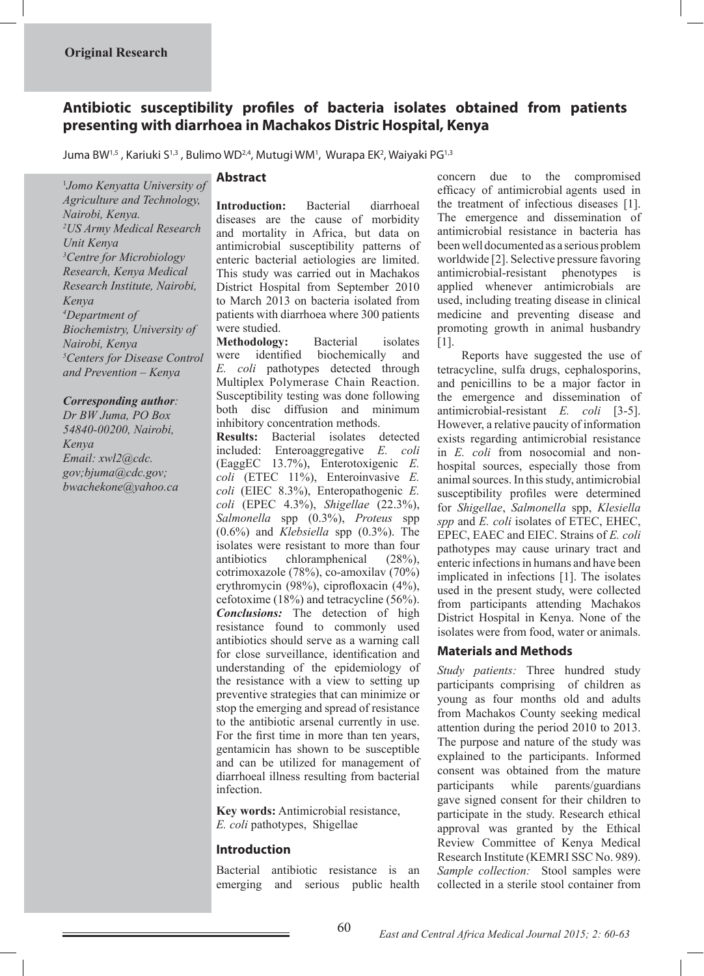# **Antibiotic susceptibility profiles of bacteria isolates obtained from patients presenting with diarrhoea in Machakos Distric Hospital, Kenya**

Juma BW<sup>1,5</sup> , Kariuki S<sup>1,3</sup> , Bulimo WD<sup>2,4</sup>, Mutugi WM<sup>1</sup>, Wurapa EK<sup>2</sup>, Waiyaki PG<sup>1,3</sup>

1 *Jomo Kenyatta University of Agriculture and Technology, Nairobi, Kenya. 2 US Army Medical Research Unit Kenya 3 Centre for Microbiology Research, Kenya Medical Research Institute, Nairobi, Kenya 4 Department of Biochemistry, University of Nairobi, Kenya 5 Centers for Disease Control and Prevention – Kenya*

#### *Corresponding author:*

*Dr BW Juma, PO Box 54840-00200, Nairobi, Kenya Email: xwl2@cdc. gov;bjuma@cdc.gov; bwachekone@yahoo.ca*

#### **Abstract**

**Introduction:** Bacterial diarrhoeal diseases are the cause of morbidity and mortality in Africa, but data on antimicrobial susceptibility patterns of enteric bacterial aetiologies are limited. This study was carried out in Machakos District Hospital from September 2010 to March 2013 on bacteria isolated from patients with diarrhoea where 300 patients were studied.

**Methodology:** Bacterial isolates were identified biochemically and *E. coli* pathotypes detected through Multiplex Polymerase Chain Reaction. Susceptibility testing was done following both disc diffusion and minimum inhibitory concentration methods.

**Results:** Bacterial isolates detected included: Enteroaggregative *E. coli* (EaggEC 13.7%), Enterotoxigenic *E. coli* (ETEC 11%), Enteroinvasive *E. coli* (EIEC 8.3%), Enteropathogenic *E. coli* (EPEC 4.3%), *Shigellae* (22.3%), *Salmonella* spp (0.3%), *Proteus* spp (0.6%) and *Klebsiella* spp (0.3%). The isolates were resistant to more than four antibiotics chloramphenical (28%), cotrimoxazole (78%), co-amoxilav (70%) erythromycin (98%), ciprofloxacin (4%), cefotoxime (18%) and tetracycline (56%). *Conclusions:* The detection of high resistance found to commonly used antibiotics should serve as a warning call for close surveillance, identification and understanding of the epidemiology of the resistance with a view to setting up preventive strategies that can minimize or stop the emerging and spread of resistance to the antibiotic arsenal currently in use. For the first time in more than ten years, gentamicin has shown to be susceptible and can be utilized for management of diarrhoeal illness resulting from bacterial infection.

**Key words:** Antimicrobial resistance, *E. coli* pathotypes, Shigellae

#### **Introduction**

Bacterial antibiotic resistance is an emerging and serious public health concern due to the compromised efficacy of antimicrobial agents used in the treatment of infectious diseases [1]. The emergence and dissemination of antimicrobial resistance in bacteria has been well documented as a serious problem worldwide [2]. Selective pressure favoring antimicrobial-resistant phenotypes is applied whenever antimicrobials are used, including treating disease in clinical medicine and preventing disease and promoting growth in animal husbandry [1].

 Reports have suggested the use of tetracycline, sulfa drugs, cephalosporins, and penicillins to be a major factor in the emergence and dissemination of antimicrobial-resistant *E. coli* [3-5]. However, a relative paucity of information exists regarding antimicrobial resistance in *E. coli* from nosocomial and nonhospital sources, especially those from animal sources. In this study, antimicrobial susceptibility profiles were determined for *Shigellae*, *Salmonella* spp, *Klesiella spp* and *E. coli* isolates of ETEC, EHEC, EPEC, EAEC and EIEC. Strains of *E. coli* pathotypes may cause urinary tract and enteric infections in humans and have been implicated in infections [1]. The isolates used in the present study, were collected from participants attending Machakos District Hospital in Kenya. None of the isolates were from food, water or animals.

#### **Materials and Methods**

*Study patients:* Three hundred study participants comprising of children as young as four months old and adults from Machakos County seeking medical attention during the period 2010 to 2013. The purpose and nature of the study was explained to the participants. Informed consent was obtained from the mature participants while parents/guardians gave signed consent for their children to participate in the study. Research ethical approval was granted by the Ethical Review Committee of Kenya Medical Research Institute (KEMRI SSC No. 989). *Sample collection:* Stool samples were collected in a sterile stool container from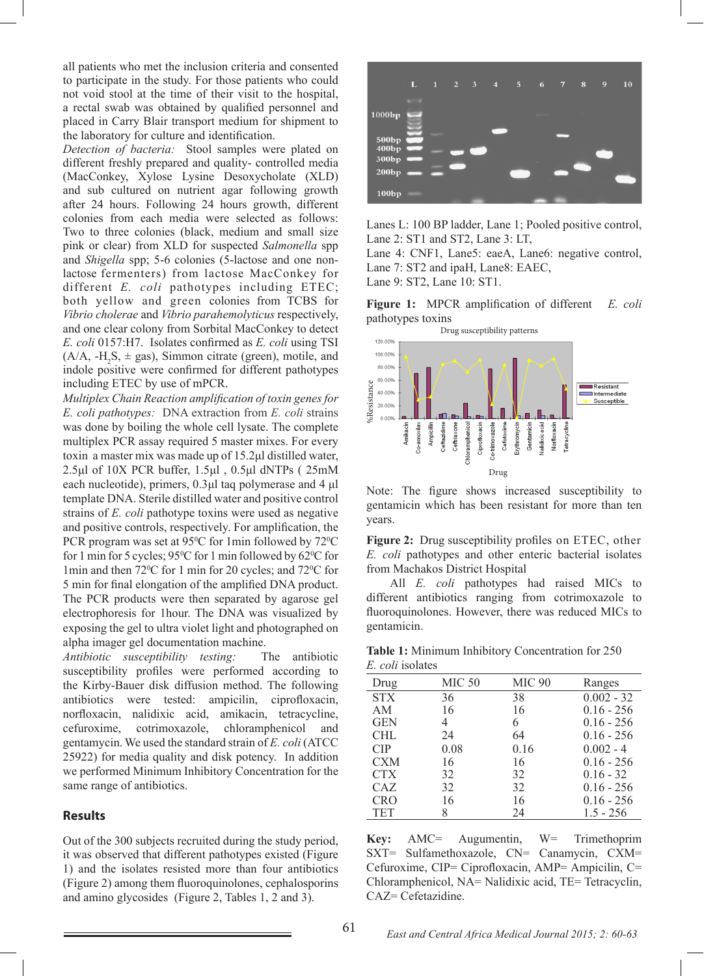all patients who met the inclusion criteria and consented to participate in the study. For those patients who could not void stool at the time of their visit to the hospital, a rectal swab was obtained by qualified personnel and placed in Carry Blair transport medium for shipment to the laboratory for culture and identification.

*Detection of bacteria:* Stool samples were plated on different freshly prepared and quality- controlled media (MacConkey, Xylose Lysine Desoxycholate (XLD) and sub cultured on nutrient agar following growth after 24 hours. Following 24 hours growth, different colonies from each media were selected as follows: Two to three colonies (black, medium and small size pink or clear) from XLD for suspected *Salmonella* spp and *Shigella* spp; 5-6 colonies (5-lactose and one nonlactose fermenters) from lactose MacConkey for different *E. coli* pathotypes including ETEC; both yellow and green colonies from TCBS for *Vibrio cholerae* and *Vibrio parahemolyticus* respectively, and one clear colony from Sorbital MacConkey to detect *E. coli* 0157:H7. Isolates confirmed as *E. coli* using TSI  $(A/A, -H<sub>2</sub>S, \pm gas)$ , Simmon citrate (green), motile, and indole positive were confirmed for different pathotypes including ETEC by use of mPCR.

*Multiplex Chain Reaction amplification of toxin genes for E. coli pathotypes:* DNA extraction from *E. coli* strains was done by boiling the whole cell lysate. The complete multiplex PCR assay required 5 master mixes. For every toxin a master mix was made up of 15.2μl distilled water, 2.5μl of 10X PCR buffer, 1.5μl , 0.5μl dNTPs ( 25mM each nucleotide), primers, 0.3μl taq polymerase and 4 μl template DNA. Sterile distilled water and positive control strains of *E. coli* pathotype toxins were used as negative and positive controls, respectively. For amplification, the PCR program was set at  $95^{\circ}$ C for 1 min followed by  $72^{\circ}$ C for 1 min for 5 cycles;  $95^{\circ}$ C for 1 min followed by 62 $^{\circ}$ C for 1min and then  $72^{\circ}$ C for 1 min for 20 cycles; and  $72^{\circ}$ C for 5 min for final elongation of the amplified DNA product. The PCR products were then separated by agarose gel electrophoresis for 1hour. The DNA was visualized by exposing the gel to ultra violet light and photographed on alpha imager gel documentation machine.

*Antibiotic susceptibility testing:* The antibiotic susceptibility profiles were performed according to the Kirby-Bauer disk diffusion method. The following antibiotics were tested: ampicilin, ciprofloxacin, norfloxacin, nalidixic acid, amikacin, tetracycline, cefuroxime, cotrimoxazole, chloramphenicol and gentamycin. We used the standard strain of *E. coli* (ATCC 25922) for media quality and disk potency. In addition we performed Minimum Inhibitory Concentration for the same range of antibiotics.

## **Results**

Out of the 300 subjects recruited during the study period, it was observed that different pathotypes existed (Figure 1) and the isolates resisted more than four antibiotics (Figure 2) among them fluoroquinolones, cephalosporins and amino glycosides (Figure 2, Tables 1, 2 and 3).



Lanes L: 100 BP ladder, Lane 1; Pooled positive control, Lane 2: ST1 and ST2, Lane 3: LT,

Lane 4: CNF1, Lane5: eaeA, Lane6: negative control, Lane 7: ST2 and ipaH, Lane8: EAEC,

Lane 9: ST2, Lane 10: ST1.

**Figure 1:** MPCR amplification of different *E. coli*  pathotypes toxins



Note: The figure shows increased susceptibility to gentamicin which has been resistant for more than ten years.

**Figure 2:** Drug susceptibility profiles on ETEC, other *E. coli* pathotypes and other enteric bacterial isolates from Machakos District Hospital

 All *E. coli* pathotypes had raised MICs to different antibiotics ranging from cotrimoxazole to fluoroquinolones. However, there was reduced MICs to gentamicin.

**Table 1:** Minimum Inhibitory Concentration for 250 *E. coli* isolates

| Drug       | MIC <sub>50</sub> | MIC 90 | Ranges       |
|------------|-------------------|--------|--------------|
| <b>STX</b> | 36                | 38     | $0.002 - 32$ |
| AM         | 16                | 16     | $0.16 - 256$ |
| <b>GEN</b> | $\overline{4}$    | 6      | $0.16 - 256$ |
| <b>CHL</b> | 24                | 64     | $0.16 - 256$ |
| CIP        | 0.08              | 0.16   | $0.002 - 4$  |
| <b>CXM</b> | 16                | 16     | $0.16 - 256$ |
| <b>CTX</b> | 32                | 32     | $0.16 - 32$  |
| CAZ.       | 32                | 32     | $0.16 - 256$ |
| <b>CRO</b> | 16                | 16     | $0.16 - 256$ |
| <b>TET</b> | 8                 | 24     | $1.5 - 256$  |

**Key:** AMC= Augumentin, W= Trimethoprim SXT= Sulfamethoxazole, CN= Canamycin, CXM= Cefuroxime, CIP= Ciprofloxacin, AMP= Ampicilin, C= Chloramphenicol, NA= Nalidixic acid, TE= Tetracyclin, CAZ= Cefetazidine.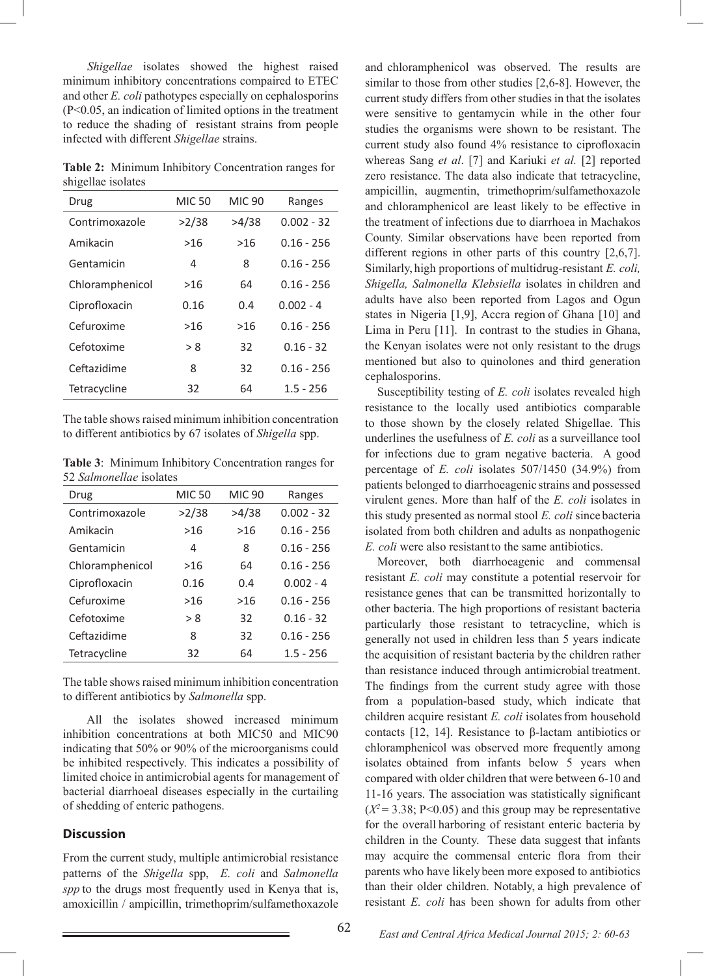*Shigellae* isolates showed the highest raised minimum inhibitory concentrations compaired to ETEC and other *E. coli* pathotypes especially on cephalosporins (P<0.05, an indication of limited options in the treatment to reduce the shading of resistant strains from people infected with different *Shigellae* strains.

**Table 2:** Minimum Inhibitory Concentration ranges for shigellae isolates

| U               |               |               |              |
|-----------------|---------------|---------------|--------------|
| Drug            | <b>MIC 50</b> | <b>MIC 90</b> | Ranges       |
| Contrimoxazole  | >2/38         | >4/38         | $0.002 - 32$ |
| Amikacin        | >16           | >16           | 0.16 - 256   |
| Gentamicin      | 4             | 8             | $0.16 - 256$ |
| Chloramphenicol | >16           | 64            | $0.16 - 256$ |
| Ciprofloxacin   | 0.16          | 0.4           | $0.002 - 4$  |
| Cefuroxime      | >16           | >16           | $0.16 - 256$ |
| Cefotoxime      | > 8           | 32            | $0.16 - 32$  |
| Ceftazidime     | 8             | 32            | $0.16 - 256$ |
| Tetracycline    | 32            | 64            | $1.5 - 256$  |

The table shows raised minimum inhibition concentration to different antibiotics by 67 isolates of *Shigella* spp.

**Table 3**: Minimum Inhibitory Concentration ranges for 52 *Salmonellae* isolates

| Drug            | <b>MIC 50</b> | <b>MIC 90</b> | Ranges       |
|-----------------|---------------|---------------|--------------|
| Contrimoxazole  | >2/38         | >4/38         | $0.002 - 32$ |
| Amikacin        | >16           | $>16$         | $0.16 - 256$ |
| Gentamicin      | 4             | 8             | $0.16 - 256$ |
| Chloramphenicol | >16           | 64            | $0.16 - 256$ |
| Ciprofloxacin   | 0.16          | 0.4           | $0.002 - 4$  |
| Cefuroxime      | >16           | $>16$         | $0.16 - 256$ |
| Cefotoxime      | > 8           | 32            | $0.16 - 32$  |
| Ceftazidime     | 8             | 32            | $0.16 - 256$ |
| Tetracycline    | 32            | 64            | $1.5 - 256$  |

The table shows raised minimum inhibition concentration to different antibiotics by *Salmonella* spp.

 All the isolates showed increased minimum inhibition concentrations at both MIC50 and MIC90 indicating that 50% or 90% of the microorganisms could be inhibited respectively. This indicates a possibility of limited choice in antimicrobial agents for management of bacterial diarrhoeal diseases especially in the curtailing of shedding of enteric pathogens.

## **Discussion**

From the current study, multiple antimicrobial resistance patterns of the *Shigella* spp, *E. coli* and *Salmonella spp* to the drugs most frequently used in Kenya that is, amoxicillin / ampicillin, trimethoprim/sulfamethoxazole

and chloramphenicol was observed. The results are similar to those from other studies [2,6-8]. However, the current study differs from other studies in that the isolates were sensitive to gentamycin while in the other four studies the organisms were shown to be resistant. The current study also found 4% resistance to ciprofloxacin whereas Sang *et al*. [7] and Kariuki *et al.* [2] reported zero resistance. The data also indicate that tetracycline, ampicillin, augmentin, trimethoprim/sulfamethoxazole and chloramphenicol are least likely to be effective in the treatment of infections due to diarrhoea in Machakos County. Similar observations have been reported from different regions in other parts of this country [2,6,7]. Similarly, high proportions of multidrug-resistant *E. coli, Shigella, Salmonella Klebsiella* isolates in children and adults have also been reported from Lagos and Ogun states in Nigeria [1,9], Accra region of Ghana [10] and Lima in Peru [11]. In contrast to the studies in Ghana, the Kenyan isolates were not only resistant to the drugs mentioned but also to quinolones and third generation cephalosporins.

Susceptibility testing of *E. coli* isolates revealed high resistance to the locally used antibiotics comparable to those shown by the closely related Shigellae. This underlines the usefulness of *E. coli* as a surveillance tool for infections due to gram negative bacteria. A good percentage of *E. coli* isolates 507/1450 (34.9%) from patients belonged to diarrhoeagenic strains and possessed virulent genes. More than half of the *E. coli* isolates in this study presented as normal stool *E. coli* since bacteria isolated from both children and adults as nonpathogenic *E. coli* were also resistant to the same antibiotics.

Moreover, both diarrhoeagenic and commensal resistant *E. coli* may constitute a potential reservoir for resistance genes that can be transmitted horizontally to other bacteria. The high proportions of resistant bacteria particularly those resistant to tetracycline, which is generally not used in children less than 5 years indicate the acquisition of resistant bacteria by the children rather than resistance induced through antimicrobial treatment. The findings from the current study agree with those from a population-based study, which indicate that children acquire resistant *E. coli* isolates from household contacts [12, 14]. Resistance to β-lactam antibiotics or chloramphenicol was observed more frequently among isolates obtained from infants below 5 years when compared with older children that were between 6-10 and 11-16 years. The association was statistically significant  $(X^2 = 3.38; P<0.05)$  and this group may be representative for the overall harboring of resistant enteric bacteria by children in the County. These data suggest that infants may acquire the commensal enteric flora from their parents who have likely been more exposed to antibiotics than their older children. Notably, a high prevalence of resistant *E. coli* has been shown for adults from other